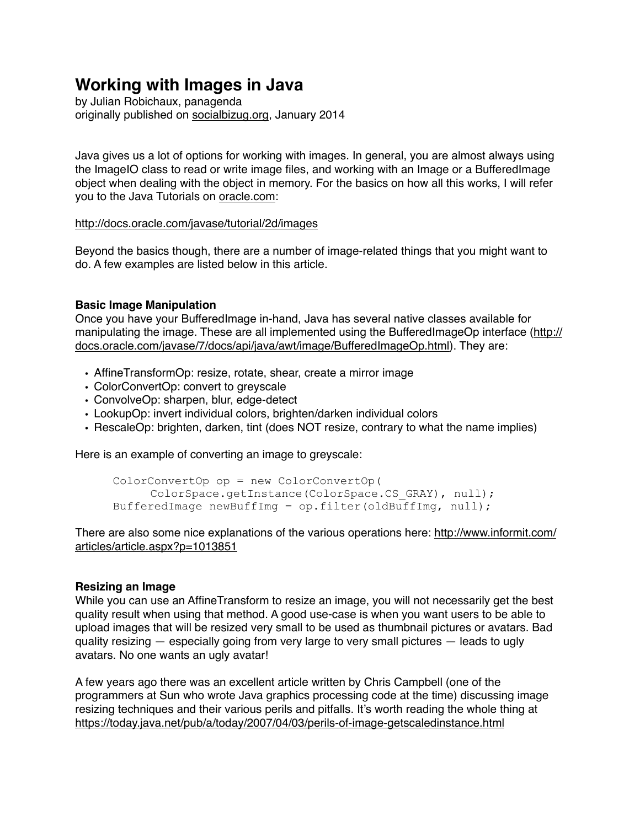# **Working with Images in Java**

by Julian Robichaux, panagenda originally published on [socialbizug.org](http://socialbizug.org), January 2014

Java gives us a lot of options for working with images. In general, you are almost always using the ImageIO class to read or write image files, and working with an Image or a BufferedImage object when dealing with the object in memory. For the basics on how all this works, I will refer you to the Java Tutorials on [oracle.com](http://oracle.com):

#### <http://docs.oracle.com/javase/tutorial/2d/images>

Beyond the basics though, there are a number of image-related things that you might want to do. A few examples are listed below in this article.

### **Basic Image Manipulation**

Once you have your BufferedImage in-hand, Java has several native classes available for manipulating the image. These are all implemented using the BufferedImageOp interface ([http://](http://docs.oracle.com/javase/7/docs/api/java/awt/image/BufferedImageOp.html) [docs.oracle.com/javase/7/docs/api/java/awt/image/BufferedImageOp.html](http://docs.oracle.com/javase/7/docs/api/java/awt/image/BufferedImageOp.html)). They are:

- AffineTransformOp: resize, rotate, shear, create a mirror image
- ColorConvertOp: convert to greyscale
- ConvolveOp: sharpen, blur, edge-detect
- LookupOp: invert individual colors, brighten/darken individual colors
- RescaleOp: brighten, darken, tint (does NOT resize, contrary to what the name implies)

Here is an example of converting an image to greyscale:

```
 ColorConvertOp op = new ColorConvertOp(
      ColorSpace.getInstance(ColorSpace.CS_GRAY), null); 
BufferedImage newBuffImg = op.filter(oldBuffer, null);
```
There are also some nice explanations of the various operations here: [http://www.informit.com/](http://www.informit.com/articles/article.aspx?p=1013851) [articles/article.aspx?p=1013851](http://www.informit.com/articles/article.aspx?p=1013851)

#### **Resizing an Image**

While you can use an AffineTransform to resize an image, you will not necessarily get the best quality result when using that method. A good use-case is when you want users to be able to upload images that will be resized very small to be used as thumbnail pictures or avatars. Bad quality resizing — especially going from very large to very small pictures — leads to ugly avatars. No one wants an ugly avatar!

A few years ago there was an excellent article written by Chris Campbell (one of the programmers at Sun who wrote Java graphics processing code at the time) discussing image resizing techniques and their various perils and pitfalls. It's worth reading the whole thing at <https://today.java.net/pub/a/today/2007/04/03/perils-of-image-getscaledinstance.html>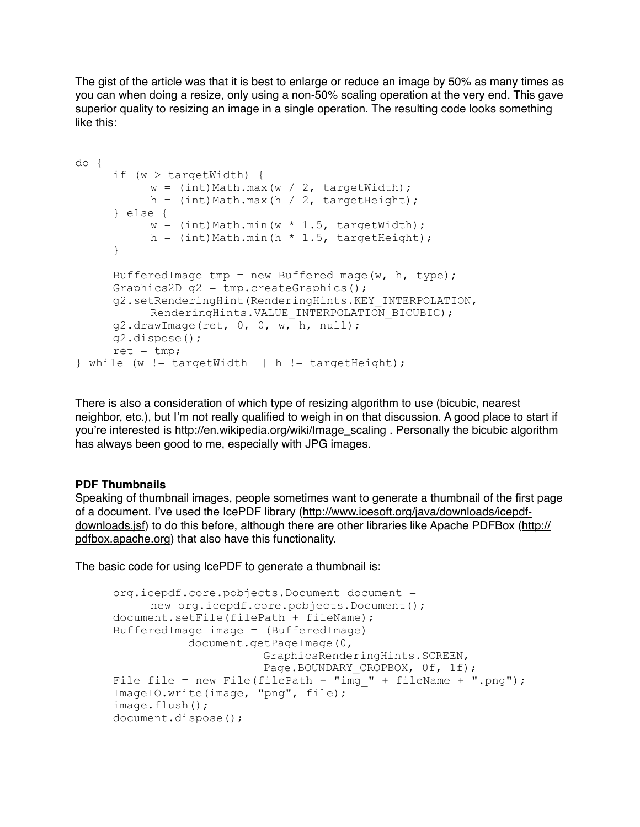The gist of the article was that it is best to enlarge or reduce an image by 50% as many times as you can when doing a resize, only using a non-50% scaling operation at the very end. This gave superior quality to resizing an image in a single operation. The resulting code looks something like this:

```
do { 
      if (w > targetWidth) { 
          w = (int) Math.max(w / 2, targetWidth);h = (int)Math.max(h / 2, targetHeight); } else { 
           w = (int) Math.min(w * 1.5, targetWidth);h = (int)Math.min(h * 1.5, targetHeight);
      } 
     BufferedImage tmp = new BufferedImage(w, h, type);
      Graphics2D g2 = tmp.createGraphics(); 
      g2.setRenderingHint(RenderingHints.KEY_INTERPOLATION, 
           RenderingHints.VALUE INTERPOLATION BICUBIC);
      g2.drawImage(ret, 0, 0, w, h, null); 
      g2.dispose(); 
     ret = tmp;} while (w != targetWidth || h != targetHeight);
```
There is also a consideration of which type of resizing algorithm to use (bicubic, nearest neighbor, etc.), but I'm not really qualified to weigh in on that discussion. A good place to start if you're interested is [http://en.wikipedia.org/wiki/Image\\_scaling](http://en.wikipedia.org/wiki/Image_scaling) . Personally the bicubic algorithm has always been good to me, especially with JPG images.

## **PDF Thumbnails**

Speaking of thumbnail images, people sometimes want to generate a thumbnail of the first page of a document. I've used the IcePDF library ([http://www.icesoft.org/java/downloads/icepdf](http://www.icesoft.org/java/downloads/icepdf-downloads.jsf)[downloads.jsf\)](http://www.icesoft.org/java/downloads/icepdf-downloads.jsf) to do this before, although there are other libraries like Apache PDFBox [\(http://](http://pdfbox.apache.org) [pdfbox.apache.org](http://pdfbox.apache.org)) that also have this functionality.

The basic code for using IcePDF to generate a thumbnail is:

```
 org.icepdf.core.pobjects.Document document = 
      new org.icepdf.core.pobjects.Document(); 
 document.setFile(filePath + fileName); 
 BufferedImage image = (BufferedImage) 
            document.getPageImage(0, 
                        GraphicsRenderingHints.SCREEN, 
                       Page.BOUNDARY CROPBOX, 0f, 1f);
File file = new File(filePath + "img " + fileName + ".png");
 ImageIO.write(image, "png", file); 
 image.flush(); 
 document.dispose();
```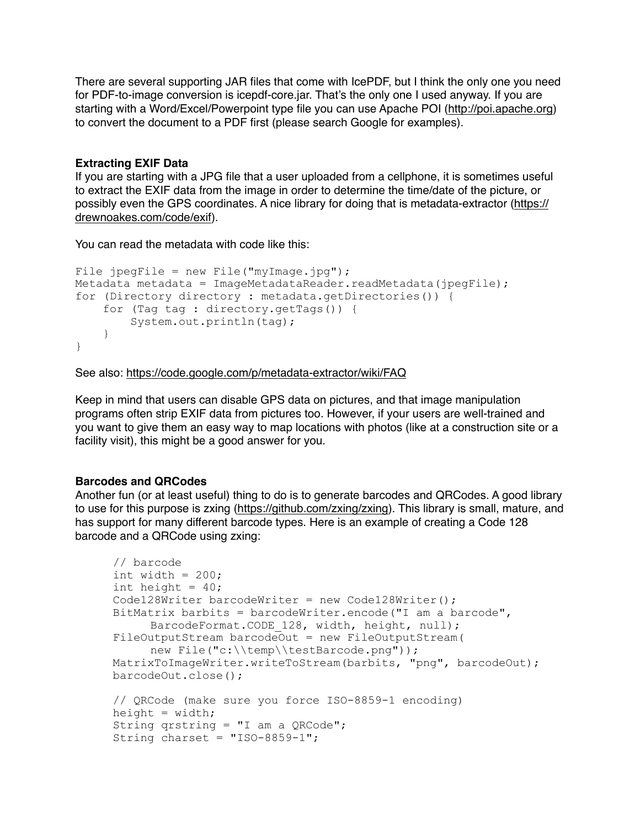There are several supporting JAR files that come with IcePDF, but I think the only one you need for PDF-to-image conversion is icepdf-core.jar. That's the only one I used anyway. If you are starting with a Word/Excel/Powerpoint type file you can use Apache POI (<http://poi.apache.org>) to convert the document to a PDF first (please search Google for examples).

#### **Extracting EXIF Data**

If you are starting with a JPG file that a user uploaded from a cellphone, it is sometimes useful to extract the EXIF data from the image in order to determine the time/date of the picture, or possibly even the GPS coordinates. A nice library for doing that is metadata-extractor [\(https://](https://drewnoakes.com/code/exif) [drewnoakes.com/code/exif](https://drewnoakes.com/code/exif)).

You can read the metadata with code like this:

```
File jpegFile = new File("myImage.jpg");
Metadata metadata = ImageMetadataReader.readMetadata(jpegFile);
for (Directory directory : metadata.getDirectories()) { 
     for (Tag tag : directory.getTags()) { 
         System.out.println(tag); 
     } 
}
```
See also: <https://code.google.com/p/metadata-extractor/wiki/FAQ>

Keep in mind that users can disable GPS data on pictures, and that image manipulation programs often strip EXIF data from pictures too. However, if your users are well-trained and you want to give them an easy way to map locations with photos (like at a construction site or a facility visit), this might be a good answer for you.

## **Barcodes and QRCodes**

Another fun (or at least useful) thing to do is to generate barcodes and QRCodes. A good library to use for this purpose is zxing [\(https://github.com/zxing/zxing\)](https://github.com/zxing/zxing). This library is small, mature, and has support for many different barcode types. Here is an example of creating a Code 128 barcode and a QRCode using zxing:

```
 // barcode 
int width = 200;
int height = 40;Code128Writer barcodeWriter = new Code128Writer();
 BitMatrix barbits = barcodeWriter.encode("I am a barcode", 
     BarcodeFormat.CODE 128, width, height, null);
 FileOutputStream barcodeOut = new FileOutputStream(
     new File("c:\\temp\\testBarcode.png"));
 MatrixToImageWriter.writeToStream(barbits, "png", barcodeOut); 
 barcodeOut.close(); 
 // QRCode (make sure you force ISO-8859-1 encoding)
height = width; String qrstring = "I am a QRCode"; 
String charset = "ISO-8859-1";
```